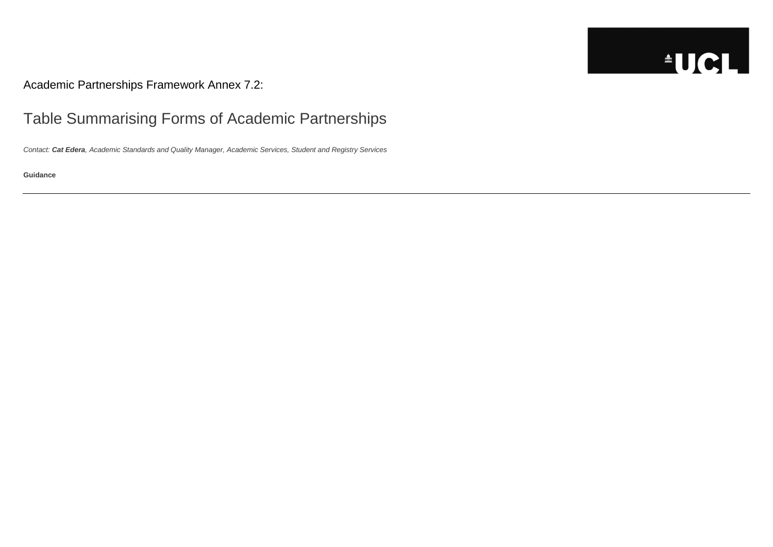Academic Partnerships Framework Annex 7.2:

## Table Summarising Forms of Academic Partnerships

*Contact: Cat Edera, Academic Standards and Quality Manager, Academic Services, Student and Registry Services*

**Guidance**

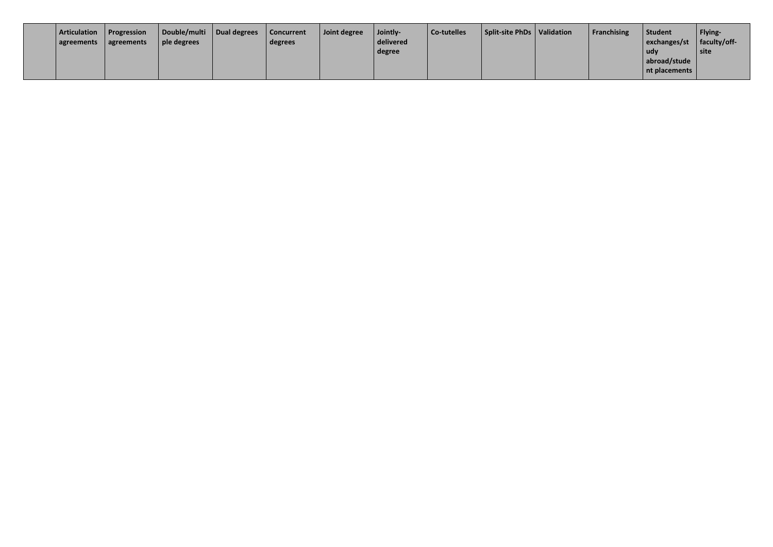| Articulation<br>agreements | Progression<br>agreements | Double/multi<br>$ $ ple degrees | <b>Dual degrees</b> | Concurrent<br>degrees | Joint degree | Jointly-<br>delivered<br>degree | Co-tutelles | Split-site PhDs | Validation |
|----------------------------|---------------------------|---------------------------------|---------------------|-----------------------|--------------|---------------------------------|-------------|-----------------|------------|
|                            |                           |                                 |                     |                       |              |                                 |             |                 |            |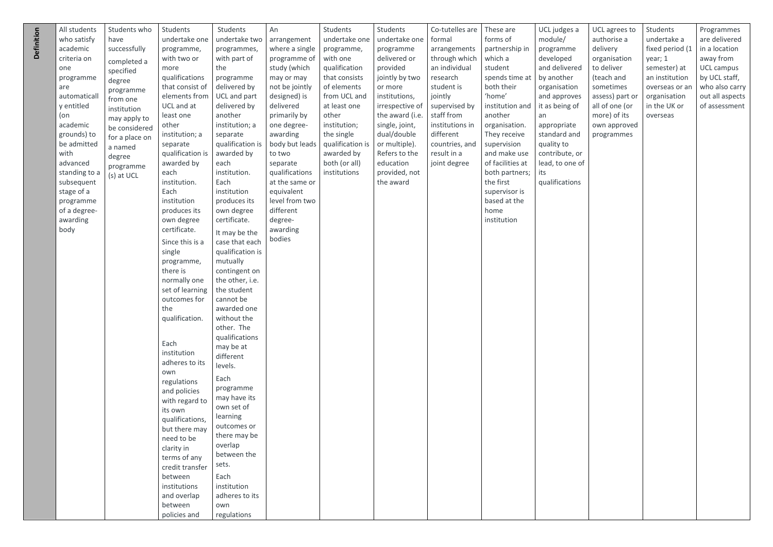| UCL agrees to<br>authorise a<br>delivery<br>organisation<br>to deliver<br>(teach and<br>sometimes<br>assess) part or<br>all of one (or<br>more) of its<br>own approved<br>programmes | Students<br>undertake a<br>fixed period (1<br>year; 1<br>semester) at<br>an institution<br>overseas or an<br>organisation<br>in the UK or<br>overseas | Programmes<br>are delivered<br>in a location<br>away from<br><b>UCL campus</b><br>by UCL staff,<br>who also carry<br>out all aspects<br>of assessment |
|--------------------------------------------------------------------------------------------------------------------------------------------------------------------------------------|-------------------------------------------------------------------------------------------------------------------------------------------------------|-------------------------------------------------------------------------------------------------------------------------------------------------------|
|                                                                                                                                                                                      |                                                                                                                                                       |                                                                                                                                                       |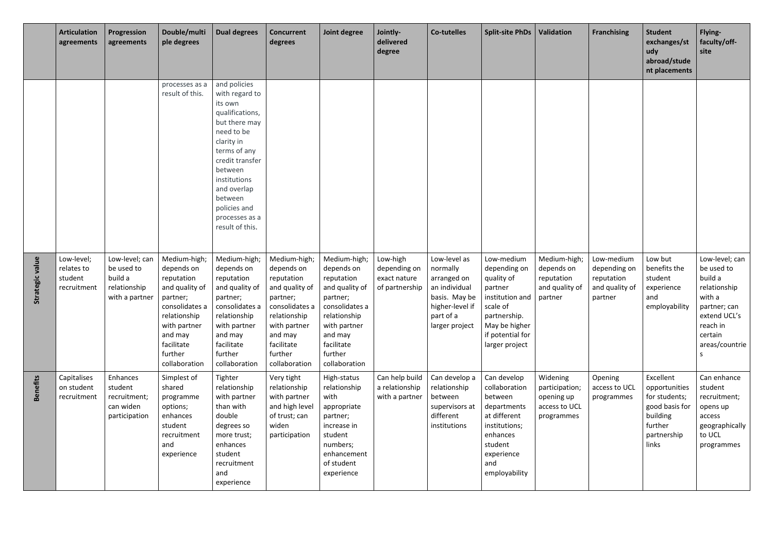|                 | <b>Articulation</b><br>agreements                  | Progression<br>agreements                                                 | Double/multi<br>ple degrees                                                                                                                                                   | <b>Dual degrees</b>                                                                                                                                                                                                                                    | <b>Concurrent</b><br>degrees                                                                                                                                                  | Joint degree                                                                                                                                                                  | Jointly-<br>delivered<br>degree                            | <b>Co-tutelles</b>                                                                                                          | <b>Split-site PhDs</b>                                                                                                                                    | Validation                                                              | <b>Franchising</b>                                                    | <b>Student</b><br>exchanges/st<br>udy<br>abroad/stude<br>nt placements                                       | Flying-<br>faculty/off-<br>site                                                                                                                  |
|-----------------|----------------------------------------------------|---------------------------------------------------------------------------|-------------------------------------------------------------------------------------------------------------------------------------------------------------------------------|--------------------------------------------------------------------------------------------------------------------------------------------------------------------------------------------------------------------------------------------------------|-------------------------------------------------------------------------------------------------------------------------------------------------------------------------------|-------------------------------------------------------------------------------------------------------------------------------------------------------------------------------|------------------------------------------------------------|-----------------------------------------------------------------------------------------------------------------------------|-----------------------------------------------------------------------------------------------------------------------------------------------------------|-------------------------------------------------------------------------|-----------------------------------------------------------------------|--------------------------------------------------------------------------------------------------------------|--------------------------------------------------------------------------------------------------------------------------------------------------|
|                 |                                                    |                                                                           | processes as a<br>result of this.                                                                                                                                             | and policies<br>with regard to<br>its own<br>qualifications,<br>but there may<br>need to be<br>clarity in<br>terms of any<br>credit transfer<br>between<br>institutions<br>and overlap<br>between<br>policies and<br>processes as a<br>result of this. |                                                                                                                                                                               |                                                                                                                                                                               |                                                            |                                                                                                                             |                                                                                                                                                           |                                                                         |                                                                       |                                                                                                              |                                                                                                                                                  |
| Strategic value | Low-level;<br>relates to<br>student<br>recruitment | Low-level; can<br>be used to<br>build a<br>relationship<br>with a partner | Medium-high;<br>depends on<br>reputation<br>and quality of<br>partner;<br>consolidates a<br>relationship<br>with partner<br>and may<br>facilitate<br>further<br>collaboration | Medium-high;<br>depends on<br>reputation<br>and quality of<br>partner;<br>consolidates a<br>relationship<br>with partner<br>and may<br>facilitate<br>further<br>collaboration                                                                          | Medium-high;<br>depends on<br>reputation<br>and quality of<br>partner;<br>consolidates a<br>relationship<br>with partner<br>and may<br>facilitate<br>further<br>collaboration | Medium-high;<br>depends on<br>reputation<br>and quality of<br>partner;<br>consolidates a<br>relationship<br>with partner<br>and may<br>facilitate<br>further<br>collaboration | Low-high<br>depending on<br>exact nature<br>of partnership | Low-level as<br>normally<br>arranged on<br>an individual<br>basis. May be<br>higher-level if<br>part of a<br>larger project | Low-medium<br>depending on<br>quality of<br>partner<br>institution and<br>scale of<br>partnership.<br>May be higher<br>if potential for<br>larger project | Medium-high;<br>depends on<br>reputation<br>and quality of<br>partner   | Low-medium<br>depending on<br>reputation<br>and quality of<br>partner | Low but<br>benefits the<br>student<br>experience<br>and<br>employability                                     | Low-level; can<br>be used to<br>build a<br>relationship<br>with a<br>partner; can<br>extend UCL's<br>reach in<br>certain<br>areas/countrie<br>-S |
| <b>Benefits</b> | Capitalises<br>on student<br>recruitment           | Enhances<br>student<br>recruitment;<br>can widen<br>participation         | Simplest of<br>shared<br>programme<br>options;<br>enhances<br>student<br>recruitment<br>and<br>experience                                                                     | Tighter<br>relationship<br>with partner<br>than with<br>double<br>degrees so<br>more trust;<br>enhances<br>student<br>recruitment<br>and<br>experience                                                                                                 | Very tight<br>relationship<br>with partner<br>and high level<br>of trust; can<br>widen<br>participation                                                                       | High-status<br>relationship<br>with<br>appropriate<br>partner;<br>increase in<br>student<br>numbers;<br>enhancement<br>of student<br>experience                               | Can help build<br>a relationship<br>with a partner         | Can develop a<br>relationship<br>between<br>supervisors at<br>different<br>institutions                                     | Can develop<br>collaboration<br>between<br>departments<br>at different<br>institutions;<br>enhances<br>student<br>experience<br>and<br>employability      | Widening<br>participation;<br>opening up<br>access to UCL<br>programmes | Opening<br>access to UCL<br>programmes                                | Excellent<br>opportunities<br>for students;<br>good basis for<br>building<br>further<br>partnership<br>links | Can enhance<br>student<br>recruitment;<br>opens up<br>access<br>geographically<br>to UCL<br>programmes                                           |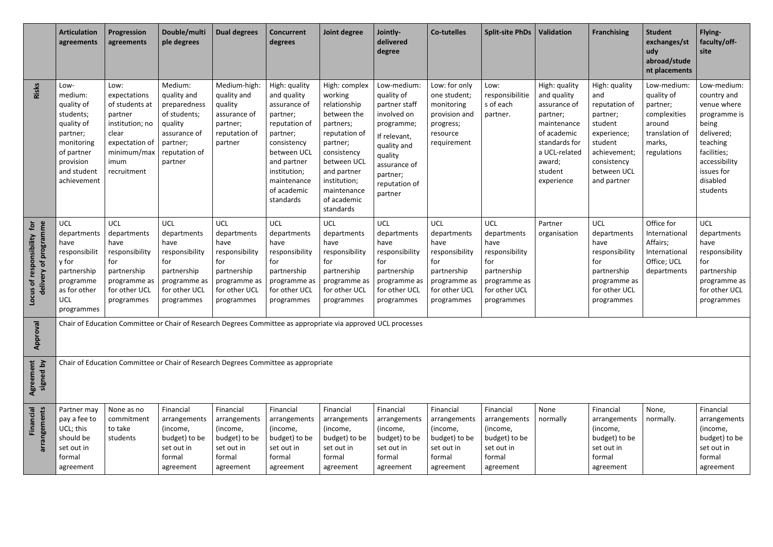|                                                                      | <b>Articulation</b><br>agreements                                                                                                           | Progression<br>agreements                                                                                                             | Double/multi<br>ple degrees                                                                                               | <b>Dual degrees</b>                                                                                                      | <b>Concurrent</b><br>degrees                                                                                                                                                                  | Joint degree                                                                                                                                                                                              | Jointly-<br>delivered<br>degree                                                                                                                                           | <b>Co-tutelles</b>                                                                                                       | <b>Split-site PhDs</b>                                                                                                   | <b>Validation</b>                                                                                                                                           | <b>Franchising</b>                                                                                                                                  | <b>Student</b><br>exchanges/st<br>udy<br>abroad/stude<br>nt placements                                     | Flying-<br>faculty/off-<br>site                                                                                                                                    |
|----------------------------------------------------------------------|---------------------------------------------------------------------------------------------------------------------------------------------|---------------------------------------------------------------------------------------------------------------------------------------|---------------------------------------------------------------------------------------------------------------------------|--------------------------------------------------------------------------------------------------------------------------|-----------------------------------------------------------------------------------------------------------------------------------------------------------------------------------------------|-----------------------------------------------------------------------------------------------------------------------------------------------------------------------------------------------------------|---------------------------------------------------------------------------------------------------------------------------------------------------------------------------|--------------------------------------------------------------------------------------------------------------------------|--------------------------------------------------------------------------------------------------------------------------|-------------------------------------------------------------------------------------------------------------------------------------------------------------|-----------------------------------------------------------------------------------------------------------------------------------------------------|------------------------------------------------------------------------------------------------------------|--------------------------------------------------------------------------------------------------------------------------------------------------------------------|
| Risks                                                                | Low-<br>medium:<br>quality of<br>students;<br>quality of<br>partner;<br>monitoring<br>of partner<br>provision<br>and student<br>achievement | Low:<br>expectations<br>of students at<br>partner<br>institution; no<br>clear<br>expectation of<br>minimum/max<br>imum<br>recruitment | Medium:<br>quality and<br>preparedness<br>of students;<br>quality<br>assurance of<br>partner;<br>reputation of<br>partner | Medium-high:<br>quality and<br>quality<br>assurance of<br>partner;<br>reputation of<br>partner                           | High: quality<br>and quality<br>assurance of<br>partner;<br>reputation of<br>partner;<br>consistency<br>between UCL<br>and partner<br>institution;<br>maintenance<br>of academic<br>standards | High: complex<br>working<br>relationship<br>between the<br>partners;<br>reputation of<br>partner;<br>consistency<br>between UCL<br>and partner<br>institution;<br>maintenance<br>of academic<br>standards | Low-medium:<br>quality of<br>partner staff<br>involved on<br>programme;<br>If relevant,<br>quality and<br>quality<br>assurance of<br>partner;<br>reputation of<br>partner | Low: for only<br>one student;<br>monitoring<br>provision and<br>progress;<br>resource<br>requirement                     | Low:<br>responsibilitie<br>s of each<br>partner.                                                                         | High: quality<br>and quality<br>assurance of<br>partner;<br>maintenance<br>of academic<br>standards for<br>a UCL-related<br>award;<br>student<br>experience | High: quality<br>and<br>reputation of<br>partner;<br>student<br>experience;<br>student<br>achievement;<br>consistency<br>between UCL<br>and partner | Low-medium:<br>quality of<br>partner;<br>complexities<br>around<br>translation of<br>marks,<br>regulations | Low-medium:<br>country and<br>venue where<br>programme is<br>being<br>delivered;<br>teaching<br>facilities;<br>accessibility<br>issues for<br>disabled<br>students |
| Locus of responsibility for<br>programme<br>$\mathbf{b}$<br>delivery | <b>UCL</b><br>departments<br>have<br>responsibilit<br>y for<br>partnership<br>programme<br>as for other<br><b>UCL</b><br>programmes         | <b>UCL</b><br>departments<br>have<br>responsibility<br>for<br>partnership<br>programme as<br>for other UCL<br>programmes              | <b>UCL</b><br>departments<br>have<br>responsibility<br>for<br>partnership<br>programme as<br>for other UCL<br>programmes  | <b>UCL</b><br>departments<br>have<br>responsibility<br>for<br>partnership<br>programme as<br>for other UCL<br>programmes | <b>UCL</b><br>departments<br>have<br>responsibility<br>for<br>partnership<br>programme as<br>for other UCL<br>programmes                                                                      | <b>UCL</b><br>departments<br>have<br>responsibility<br>for<br>partnership<br>programme as<br>for other UCL<br>programmes                                                                                  | <b>UCL</b><br>departments<br>have<br>responsibility<br>for<br>partnership<br>programme as<br>for other UCL<br>programmes                                                  | <b>UCL</b><br>departments<br>have<br>responsibility<br>for<br>partnership<br>programme as<br>for other UCL<br>programmes | <b>UCL</b><br>departments<br>have<br>responsibility<br>for<br>partnership<br>programme as<br>for other UCL<br>programmes | Partner<br>organisation                                                                                                                                     | <b>UCL</b><br>departments<br>have<br>responsibility<br>for<br>partnership<br>programme as<br>for other UCL<br>programmes                            | Office for<br>International<br>Affairs;<br>International<br>Office; UCL<br>departments                     | <b>UCL</b><br>departments<br>have<br>responsibility<br>for<br>partnership<br>programme as<br>for other UCL<br>programmes                                           |
| Approval                                                             |                                                                                                                                             |                                                                                                                                       | Chair of Education Committee or Chair of Research Degrees Committee as appropriate via approved UCL processes             |                                                                                                                          |                                                                                                                                                                                               |                                                                                                                                                                                                           |                                                                                                                                                                           |                                                                                                                          |                                                                                                                          |                                                                                                                                                             |                                                                                                                                                     |                                                                                                            |                                                                                                                                                                    |
| Agreement<br>signed by                                               |                                                                                                                                             |                                                                                                                                       | Chair of Education Committee or Chair of Research Degrees Committee as appropriate                                        |                                                                                                                          |                                                                                                                                                                                               |                                                                                                                                                                                                           |                                                                                                                                                                           |                                                                                                                          |                                                                                                                          |                                                                                                                                                             |                                                                                                                                                     |                                                                                                            |                                                                                                                                                                    |
| Financial<br>arrangements                                            | Partner may<br>pay a fee to<br>UCL; this<br>should be<br>set out in<br>formal<br>agreement                                                  | None as no<br>commitment<br>to take<br>students                                                                                       | Financial<br>arrangements<br>(income,<br>budget) to be<br>set out in<br>formal<br>agreement                               | Financial<br>arrangements<br>(income,<br>budget) to be<br>set out in<br>formal<br>agreement                              | Financial<br>arrangements<br>(income,<br>budget) to be<br>set out in<br>formal<br>agreement                                                                                                   | Financial<br>arrangements<br>(income,<br>budget) to be<br>set out in<br>formal<br>agreement                                                                                                               | Financial<br>arrangements<br>(income,<br>budget) to be<br>set out in<br>formal<br>agreement                                                                               | Financial<br>arrangements<br>(income,<br>budget) to be<br>set out in<br>formal<br>agreement                              | Financial<br>arrangements<br>(income,<br>budget) to be<br>set out in<br>formal<br>agreement                              | None<br>normally                                                                                                                                            | Financial<br>arrangements<br>(income,<br>budget) to be<br>set out in<br>formal<br>agreement                                                         | None,<br>normally.                                                                                         | Financial<br>arrangements<br>(income,<br>budget) to be<br>set out in<br>formal<br>agreement                                                                        |